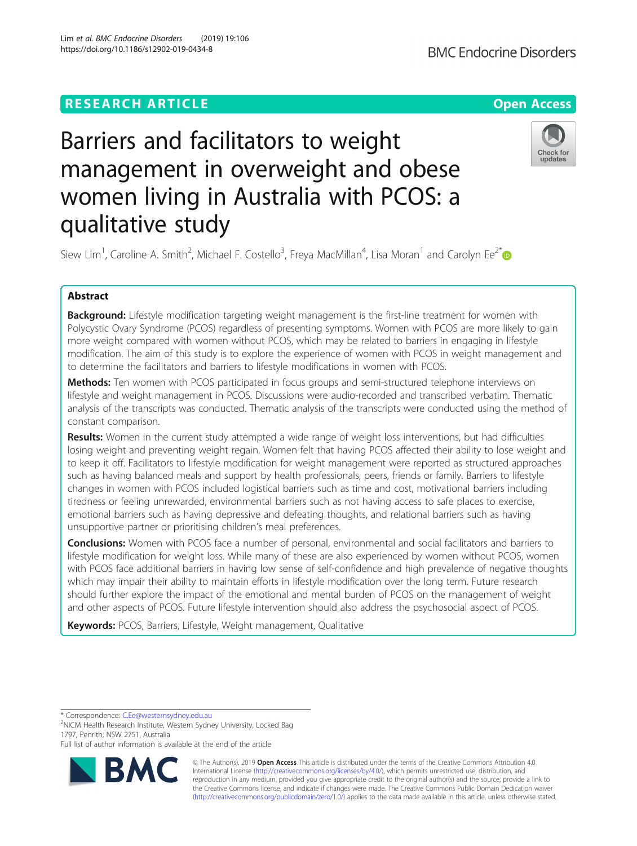# **RESEARCH ARTICLE Example 2014 12:30 The Contract of Contract ACCESS**



# Barriers and facilitators to weight management in overweight and obese women living in Australia with PCOS: a qualitative study



Siew Lim<sup>1</sup>, Caroline A. Smith<sup>2</sup>, Michael F. Costello<sup>3</sup>, Freya MacMillan<sup>4</sup>, Lisa Moran<sup>1</sup> and Carolyn Ee<sup>2\*</sup>

# Abstract

Background: Lifestyle modification targeting weight management is the first-line treatment for women with Polycystic Ovary Syndrome (PCOS) regardless of presenting symptoms. Women with PCOS are more likely to gain more weight compared with women without PCOS, which may be related to barriers in engaging in lifestyle modification. The aim of this study is to explore the experience of women with PCOS in weight management and to determine the facilitators and barriers to lifestyle modifications in women with PCOS.

**Methods:** Ten women with PCOS participated in focus groups and semi-structured telephone interviews on lifestyle and weight management in PCOS. Discussions were audio-recorded and transcribed verbatim. Thematic analysis of the transcripts was conducted. Thematic analysis of the transcripts were conducted using the method of constant comparison.

Results: Women in the current study attempted a wide range of weight loss interventions, but had difficulties losing weight and preventing weight regain. Women felt that having PCOS affected their ability to lose weight and to keep it off. Facilitators to lifestyle modification for weight management were reported as structured approaches such as having balanced meals and support by health professionals, peers, friends or family. Barriers to lifestyle changes in women with PCOS included logistical barriers such as time and cost, motivational barriers including tiredness or feeling unrewarded, environmental barriers such as not having access to safe places to exercise, emotional barriers such as having depressive and defeating thoughts, and relational barriers such as having unsupportive partner or prioritising children's meal preferences.

Conclusions: Women with PCOS face a number of personal, environmental and social facilitators and barriers to lifestyle modification for weight loss. While many of these are also experienced by women without PCOS, women with PCOS face additional barriers in having low sense of self-confidence and high prevalence of negative thoughts which may impair their ability to maintain efforts in lifestyle modification over the long term. Future research should further explore the impact of the emotional and mental burden of PCOS on the management of weight and other aspects of PCOS. Future lifestyle intervention should also address the psychosocial aspect of PCOS.

**Keywords:** PCOS, Barriers, Lifestyle, Weight management, Qualitative

\* Correspondence: [C.Ee@westernsydney.edu.au](mailto:C.Ee@westernsydney.edu.au) <sup>2</sup>

<sup>2</sup>NICM Health Research Institute, Western Sydney University, Locked Bag 1797, Penrith, NSW 2751, Australia

Full list of author information is available at the end of the article



© The Author(s). 2019 **Open Access** This article is distributed under the terms of the Creative Commons Attribution 4.0 International License [\(http://creativecommons.org/licenses/by/4.0/](http://creativecommons.org/licenses/by/4.0/)), which permits unrestricted use, distribution, and reproduction in any medium, provided you give appropriate credit to the original author(s) and the source, provide a link to the Creative Commons license, and indicate if changes were made. The Creative Commons Public Domain Dedication waiver [\(http://creativecommons.org/publicdomain/zero/1.0/](http://creativecommons.org/publicdomain/zero/1.0/)) applies to the data made available in this article, unless otherwise stated.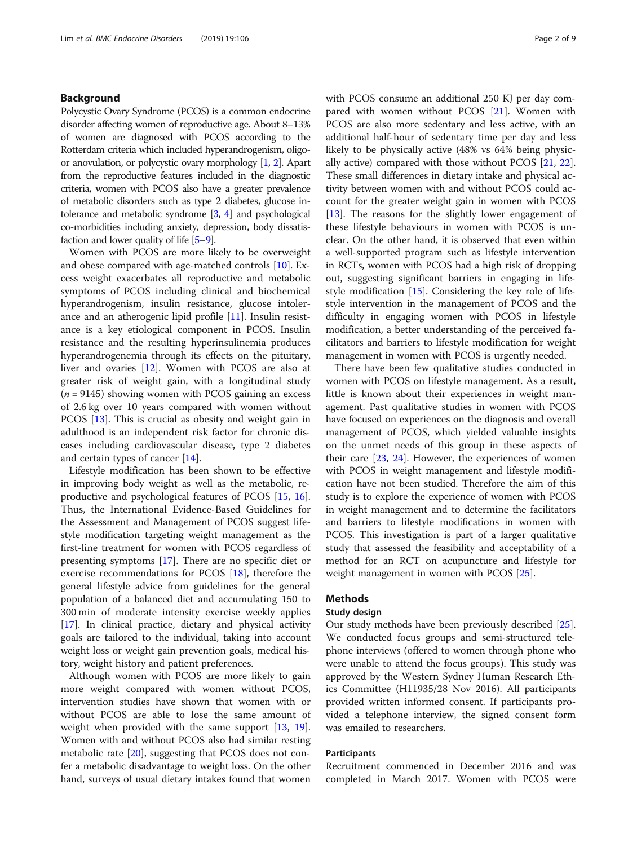# Background

Polycystic Ovary Syndrome (PCOS) is a common endocrine disorder affecting women of reproductive age. About 8–13% of women are diagnosed with PCOS according to the Rotterdam criteria which included hyperandrogenism, oligoor anovulation, or polycystic ovary morphology [\[1,](#page-7-0) [2](#page-7-0)]. Apart from the reproductive features included in the diagnostic criteria, women with PCOS also have a greater prevalence of metabolic disorders such as type 2 diabetes, glucose intolerance and metabolic syndrome [[3](#page-7-0), [4\]](#page-7-0) and psychological co-morbidities including anxiety, depression, body dissatisfaction and lower quality of life [\[5](#page-7-0)–[9](#page-7-0)].

Women with PCOS are more likely to be overweight and obese compared with age-matched controls [[10](#page-7-0)]. Excess weight exacerbates all reproductive and metabolic symptoms of PCOS including clinical and biochemical hyperandrogenism, insulin resistance, glucose intolerance and an atherogenic lipid profile [\[11](#page-7-0)]. Insulin resistance is a key etiological component in PCOS. Insulin resistance and the resulting hyperinsulinemia produces hyperandrogenemia through its effects on the pituitary, liver and ovaries [\[12](#page-7-0)]. Women with PCOS are also at greater risk of weight gain, with a longitudinal study  $(n = 9145)$  showing women with PCOS gaining an excess of 2.6 kg over 10 years compared with women without PCOS [\[13](#page-7-0)]. This is crucial as obesity and weight gain in adulthood is an independent risk factor for chronic diseases including cardiovascular disease, type 2 diabetes and certain types of cancer [\[14](#page-7-0)].

Lifestyle modification has been shown to be effective in improving body weight as well as the metabolic, reproductive and psychological features of PCOS [[15,](#page-7-0) [16](#page-8-0)]. Thus, the International Evidence-Based Guidelines for the Assessment and Management of PCOS suggest lifestyle modification targeting weight management as the first-line treatment for women with PCOS regardless of presenting symptoms [[17\]](#page-8-0). There are no specific diet or exercise recommendations for PCOS [[18\]](#page-8-0), therefore the general lifestyle advice from guidelines for the general population of a balanced diet and accumulating 150 to 300 min of moderate intensity exercise weekly applies [[17\]](#page-8-0). In clinical practice, dietary and physical activity goals are tailored to the individual, taking into account weight loss or weight gain prevention goals, medical history, weight history and patient preferences.

Although women with PCOS are more likely to gain more weight compared with women without PCOS, intervention studies have shown that women with or without PCOS are able to lose the same amount of weight when provided with the same support [[13,](#page-7-0) [19](#page-8-0)]. Women with and without PCOS also had similar resting metabolic rate [[20\]](#page-8-0), suggesting that PCOS does not confer a metabolic disadvantage to weight loss. On the other hand, surveys of usual dietary intakes found that women with PCOS consume an additional 250 KJ per day compared with women without PCOS [[21\]](#page-8-0). Women with PCOS are also more sedentary and less active, with an additional half-hour of sedentary time per day and less likely to be physically active (48% vs 64% being physically active) compared with those without PCOS [\[21](#page-8-0), [22](#page-8-0)]. These small differences in dietary intake and physical activity between women with and without PCOS could account for the greater weight gain in women with PCOS [[13\]](#page-7-0). The reasons for the slightly lower engagement of these lifestyle behaviours in women with PCOS is unclear. On the other hand, it is observed that even within a well-supported program such as lifestyle intervention in RCTs, women with PCOS had a high risk of dropping out, suggesting significant barriers in engaging in lifestyle modification [\[15](#page-7-0)]. Considering the key role of lifestyle intervention in the management of PCOS and the difficulty in engaging women with PCOS in lifestyle modification, a better understanding of the perceived facilitators and barriers to lifestyle modification for weight management in women with PCOS is urgently needed.

There have been few qualitative studies conducted in women with PCOS on lifestyle management. As a result, little is known about their experiences in weight management. Past qualitative studies in women with PCOS have focused on experiences on the diagnosis and overall management of PCOS, which yielded valuable insights on the unmet needs of this group in these aspects of their care  $[23, 24]$  $[23, 24]$  $[23, 24]$  $[23, 24]$  $[23, 24]$ . However, the experiences of women with PCOS in weight management and lifestyle modification have not been studied. Therefore the aim of this study is to explore the experience of women with PCOS in weight management and to determine the facilitators and barriers to lifestyle modifications in women with PCOS. This investigation is part of a larger qualitative study that assessed the feasibility and acceptability of a method for an RCT on acupuncture and lifestyle for weight management in women with PCOS [[25\]](#page-8-0).

# Methods

# Study design

Our study methods have been previously described [\[25](#page-8-0)]. We conducted focus groups and semi-structured telephone interviews (offered to women through phone who were unable to attend the focus groups). This study was approved by the Western Sydney Human Research Ethics Committee (H11935/28 Nov 2016). All participants provided written informed consent. If participants provided a telephone interview, the signed consent form was emailed to researchers.

# Participants

Recruitment commenced in December 2016 and was completed in March 2017. Women with PCOS were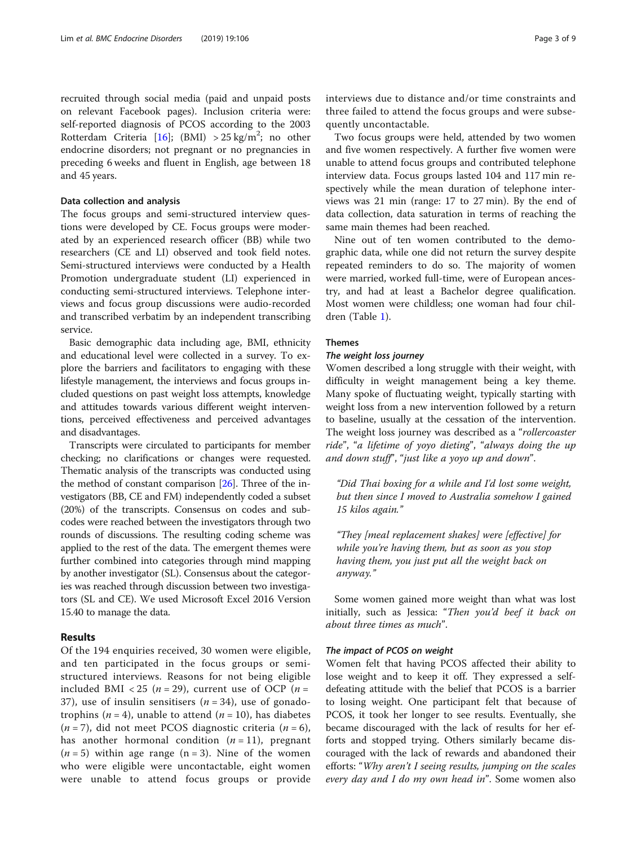recruited through social media (paid and unpaid posts on relevant Facebook pages). Inclusion criteria were: self-reported diagnosis of PCOS according to the 2003 Rotterdam Criteria [[16\]](#page-8-0); (BMI) >  $25 \text{ kg/m}^2$ ; no other endocrine disorders; not pregnant or no pregnancies in preceding 6 weeks and fluent in English, age between 18 and 45 years.

# Data collection and analysis

The focus groups and semi-structured interview questions were developed by CE. Focus groups were moderated by an experienced research officer (BB) while two researchers (CE and LI) observed and took field notes. Semi-structured interviews were conducted by a Health Promotion undergraduate student (LI) experienced in conducting semi-structured interviews. Telephone interviews and focus group discussions were audio-recorded and transcribed verbatim by an independent transcribing service.

Basic demographic data including age, BMI, ethnicity and educational level were collected in a survey. To explore the barriers and facilitators to engaging with these lifestyle management, the interviews and focus groups included questions on past weight loss attempts, knowledge and attitudes towards various different weight interventions, perceived effectiveness and perceived advantages and disadvantages.

Transcripts were circulated to participants for member checking; no clarifications or changes were requested. Thematic analysis of the transcripts was conducted using the method of constant comparison [[26](#page-8-0)]. Three of the investigators (BB, CE and FM) independently coded a subset (20%) of the transcripts. Consensus on codes and subcodes were reached between the investigators through two rounds of discussions. The resulting coding scheme was applied to the rest of the data. The emergent themes were further combined into categories through mind mapping by another investigator (SL). Consensus about the categories was reached through discussion between two investigators (SL and CE). We used Microsoft Excel 2016 Version 15.40 to manage the data.

# Results

Of the 194 enquiries received, 30 women were eligible, and ten participated in the focus groups or semistructured interviews. Reasons for not being eligible included BMI < 25 ( $n = 29$ ), current use of OCP ( $n =$ 37), use of insulin sensitisers ( $n = 34$ ), use of gonadotrophins ( $n = 4$ ), unable to attend ( $n = 10$ ), has diabetes  $(n = 7)$ , did not meet PCOS diagnostic criteria  $(n = 6)$ , has another hormonal condition  $(n = 11)$ , pregnant  $(n = 5)$  within age range  $(n = 3)$ . Nine of the women who were eligible were uncontactable, eight women were unable to attend focus groups or provide interviews due to distance and/or time constraints and three failed to attend the focus groups and were subsequently uncontactable.

Two focus groups were held, attended by two women and five women respectively. A further five women were unable to attend focus groups and contributed telephone interview data. Focus groups lasted 104 and 117 min respectively while the mean duration of telephone interviews was 21 min (range: 17 to 27 min). By the end of data collection, data saturation in terms of reaching the same main themes had been reached.

Nine out of ten women contributed to the demographic data, while one did not return the survey despite repeated reminders to do so. The majority of women were married, worked full-time, were of European ancestry, and had at least a Bachelor degree qualification. Most women were childless; one woman had four children (Table [1](#page-3-0)).

# Themes

Women described a long struggle with their weight, with difficulty in weight management being a key theme. Many spoke of fluctuating weight, typically starting with weight loss from a new intervention followed by a return to baseline, usually at the cessation of the intervention. The weight loss journey was described as a "rollercoaster ride", "a lifetime of yoyo dieting", "always doing the up and down stuff", "just like a yoyo up and down".

"Did Thai boxing for a while and I'd lost some weight, but then since I moved to Australia somehow I gained 15 kilos again."

"They [meal replacement shakes] were [effective] for while you're having them, but as soon as you stop having them, you just put all the weight back on anyway."

Some women gained more weight than what was lost initially, such as Jessica: "Then you'd beef it back on about three times as much".

Women felt that having PCOS affected their ability to lose weight and to keep it off. They expressed a selfdefeating attitude with the belief that PCOS is a barrier to losing weight. One participant felt that because of PCOS, it took her longer to see results. Eventually, she became discouraged with the lack of results for her efforts and stopped trying. Others similarly became discouraged with the lack of rewards and abandoned their efforts: "Why aren't I seeing results, jumping on the scales every day and I do my own head in". Some women also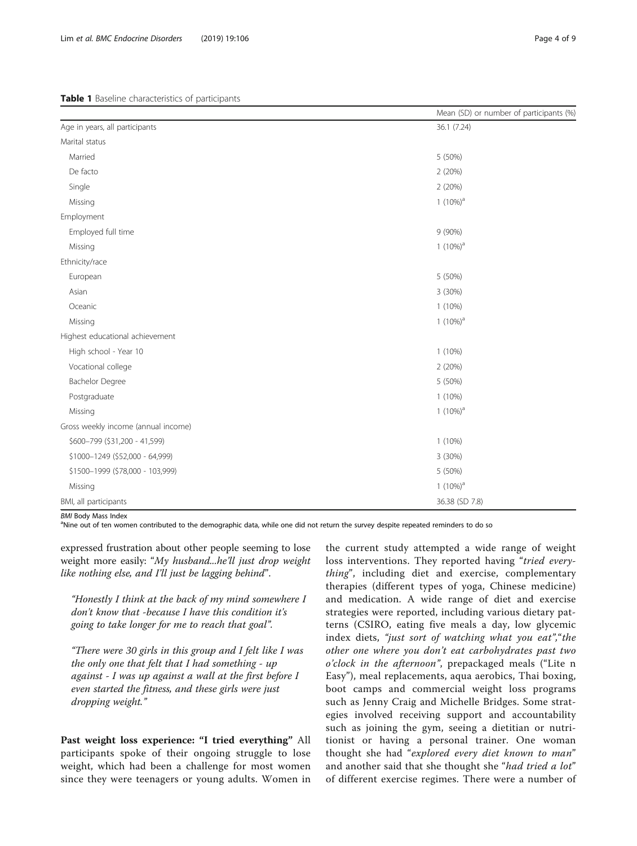<span id="page-3-0"></span>Table 1 Baseline characteristics of participants

|                                     | Mean (SD) or number of participants (%) |
|-------------------------------------|-----------------------------------------|
| Age in years, all participants      | 36.1 (7.24)                             |
| Marital status                      |                                         |
| Married                             | 5 (50%)                                 |
| De facto                            | 2 (20%)                                 |
| Single                              | 2(20%)                                  |
| Missing                             | $1(10\%)^a$                             |
| Employment                          |                                         |
| Employed full time                  | $9(90\%)$                               |
| Missing                             | $1(10\%)^a$                             |
| Ethnicity/race                      |                                         |
| European                            | 5 (50%)                                 |
| Asian                               | 3 (30%)                                 |
| Oceanic                             | $1(10\%)$                               |
| Missing                             | $1(10\%)^a$                             |
| Highest educational achievement     |                                         |
| High school - Year 10               | $1(10\%)$                               |
| Vocational college                  | 2(20%)                                  |
| Bachelor Degree                     | 5 (50%)                                 |
| Postgraduate                        | $1(10\%)$                               |
| Missing                             | $1(10\%)^a$                             |
| Gross weekly income (annual income) |                                         |
| \$600-799 (\$31,200 - 41,599)       | $1(10\%)$                               |
| \$1000-1249 (\$52,000 - 64,999)     | 3 (30%)                                 |
| \$1500-1999 (\$78,000 - 103,999)    | 5 (50%)                                 |
| Missing                             | 1 $(10\%)^a$                            |
| BMI, all participants               | 36.38 (SD 7.8)                          |

# **BMI Body Mass Index**

<sup>a</sup>Nine out of ten women contributed to the demographic data, while one did not return the survey despite repeated reminders to do so

expressed frustration about other people seeming to lose weight more easily: "My husband...he'll just drop weight like nothing else, and I'll just be lagging behind".

"Honestly I think at the back of my mind somewhere I don't know that -because I have this condition it's going to take longer for me to reach that goal".

"There were 30 girls in this group and I felt like I was the only one that felt that I had something - up against - I was up against a wall at the first before I even started the fitness, and these girls were just dropping weight."

Past weight loss experience: "I tried everything" All participants spoke of their ongoing struggle to lose weight, which had been a challenge for most women since they were teenagers or young adults. Women in

the current study attempted a wide range of weight loss interventions. They reported having "tried everything", including diet and exercise, complementary therapies (different types of yoga, Chinese medicine) and medication. A wide range of diet and exercise strategies were reported, including various dietary patterns (CSIRO, eating five meals a day, low glycemic index diets, "just sort of watching what you eat", "the other one where you don't eat carbohydrates past two o'clock in the afternoon", prepackaged meals ("Lite n Easy"), meal replacements, aqua aerobics, Thai boxing, boot camps and commercial weight loss programs such as Jenny Craig and Michelle Bridges. Some strategies involved receiving support and accountability such as joining the gym, seeing a dietitian or nutritionist or having a personal trainer. One woman thought she had "explored every diet known to man" and another said that she thought she "had tried a lot" of different exercise regimes. There were a number of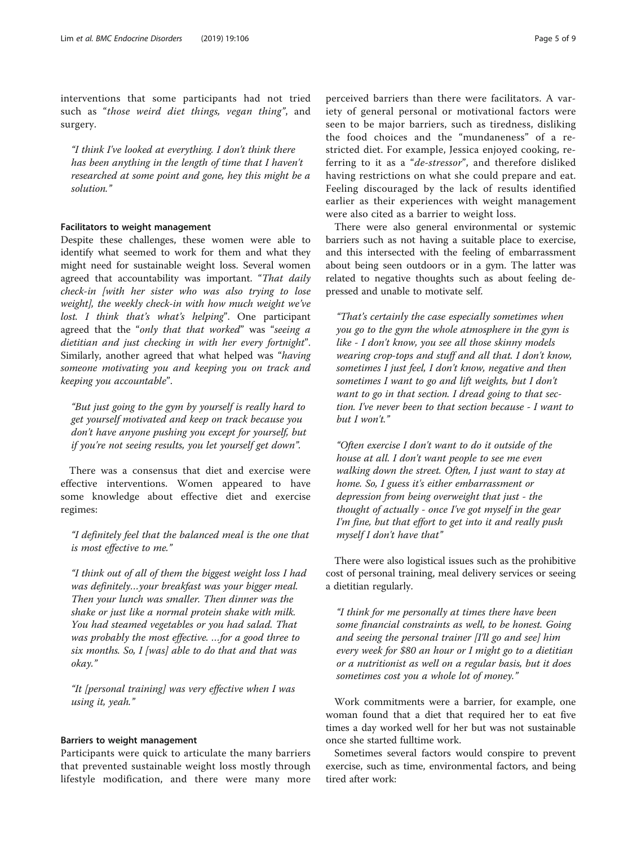interventions that some participants had not tried such as "those weird diet things, vegan thing", and surgery.

"I think I've looked at everything. I don't think there has been anything in the length of time that I haven't researched at some point and gone, hey this might be a solution."

# Facilitators to weight management

Despite these challenges, these women were able to identify what seemed to work for them and what they might need for sustainable weight loss. Several women agreed that accountability was important. "That daily check-in [with her sister who was also trying to lose weight], the weekly check-in with how much weight we've lost. I think that's what's helping". One participant agreed that the "only that that worked" was "seeing a dietitian and just checking in with her every fortnight". Similarly, another agreed that what helped was "having someone motivating you and keeping you on track and keeping you accountable".

"But just going to the gym by yourself is really hard to get yourself motivated and keep on track because you don't have anyone pushing you except for yourself, but if you're not seeing results, you let yourself get down".

There was a consensus that diet and exercise were effective interventions. Women appeared to have some knowledge about effective diet and exercise regimes:

"I definitely feel that the balanced meal is the one that is most effective to me."

"I think out of all of them the biggest weight loss I had was definitely…your breakfast was your bigger meal. Then your lunch was smaller. Then dinner was the shake or just like a normal protein shake with milk. You had steamed vegetables or you had salad. That was probably the most effective. …for a good three to six months. So, I [was] able to do that and that was okay."

"It [personal training] was very effective when I was using it, yeah."

# Barriers to weight management

Participants were quick to articulate the many barriers that prevented sustainable weight loss mostly through lifestyle modification, and there were many more

perceived barriers than there were facilitators. A variety of general personal or motivational factors were seen to be major barriers, such as tiredness, disliking the food choices and the "mundaneness" of a restricted diet. For example, Jessica enjoyed cooking, referring to it as a "de-stressor", and therefore disliked having restrictions on what she could prepare and eat. Feeling discouraged by the lack of results identified earlier as their experiences with weight management were also cited as a barrier to weight loss.

There were also general environmental or systemic barriers such as not having a suitable place to exercise, and this intersected with the feeling of embarrassment about being seen outdoors or in a gym. The latter was related to negative thoughts such as about feeling depressed and unable to motivate self.

"That's certainly the case especially sometimes when you go to the gym the whole atmosphere in the gym is like - I don't know, you see all those skinny models wearing crop-tops and stuff and all that. I don't know, sometimes I just feel, I don't know, negative and then sometimes I want to go and lift weights, but I don't want to go in that section. I dread going to that section. I've never been to that section because - I want to but I won't."

"Often exercise I don't want to do it outside of the house at all. I don't want people to see me even walking down the street. Often, I just want to stay at home. So, I guess it's either embarrassment or depression from being overweight that just - the thought of actually - once I've got myself in the gear I'm fine, but that effort to get into it and really push myself I don't have that"

There were also logistical issues such as the prohibitive cost of personal training, meal delivery services or seeing a dietitian regularly.

"I think for me personally at times there have been some financial constraints as well, to be honest. Going and seeing the personal trainer [I'll go and see] him every week for \$80 an hour or I might go to a dietitian or a nutritionist as well on a regular basis, but it does sometimes cost you a whole lot of money."

Work commitments were a barrier, for example, one woman found that a diet that required her to eat five times a day worked well for her but was not sustainable once she started fulltime work.

Sometimes several factors would conspire to prevent exercise, such as time, environmental factors, and being tired after work: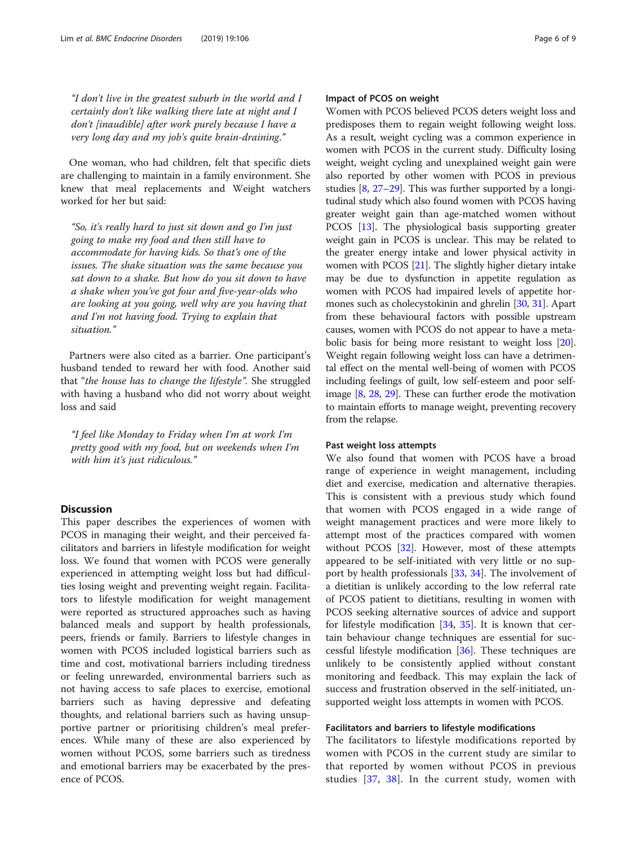"I don't live in the greatest suburb in the world and I certainly don't like walking there late at night and I don't [inaudible] after work purely because I have a very long day and my job's quite brain-draining."

One woman, who had children, felt that specific diets are challenging to maintain in a family environment. She knew that meal replacements and Weight watchers worked for her but said:

"So, it's really hard to just sit down and go I'm just going to make my food and then still have to accommodate for having kids. So that's one of the issues. The shake situation was the same because you sat down to a shake. But how do you sit down to have a shake when you've got four and five-year-olds who are looking at you going, well why are you having that and I'm not having food. Trying to explain that situation."

Partners were also cited as a barrier. One participant's husband tended to reward her with food. Another said that "the house has to change the lifestyle". She struggled with having a husband who did not worry about weight loss and said

"I feel like Monday to Friday when I'm at work I'm pretty good with my food, but on weekends when I'm with him it's just ridiculous."

# **Discussion**

This paper describes the experiences of women with PCOS in managing their weight, and their perceived facilitators and barriers in lifestyle modification for weight loss. We found that women with PCOS were generally experienced in attempting weight loss but had difficulties losing weight and preventing weight regain. Facilitators to lifestyle modification for weight management were reported as structured approaches such as having balanced meals and support by health professionals, peers, friends or family. Barriers to lifestyle changes in women with PCOS included logistical barriers such as time and cost, motivational barriers including tiredness or feeling unrewarded, environmental barriers such as not having access to safe places to exercise, emotional barriers such as having depressive and defeating thoughts, and relational barriers such as having unsupportive partner or prioritising children's meal preferences. While many of these are also experienced by women without PCOS, some barriers such as tiredness and emotional barriers may be exacerbated by the presence of PCOS.

# Impact of PCOS on weight

Women with PCOS believed PCOS deters weight loss and predisposes them to regain weight following weight loss. As a result, weight cycling was a common experience in women with PCOS in the current study. Difficulty losing weight, weight cycling and unexplained weight gain were also reported by other women with PCOS in previous studies [[8](#page-7-0), [27](#page-8-0)–[29\]](#page-8-0). This was further supported by a longitudinal study which also found women with PCOS having greater weight gain than age-matched women without PCOS [[13\]](#page-7-0). The physiological basis supporting greater weight gain in PCOS is unclear. This may be related to the greater energy intake and lower physical activity in women with PCOS [\[21\]](#page-8-0). The slightly higher dietary intake may be due to dysfunction in appetite regulation as women with PCOS had impaired levels of appetite hormones such as cholecystokinin and ghrelin [\[30,](#page-8-0) [31](#page-8-0)]. Apart from these behavioural factors with possible upstream causes, women with PCOS do not appear to have a metabolic basis for being more resistant to weight loss [[20](#page-8-0)]. Weight regain following weight loss can have a detrimental effect on the mental well-being of women with PCOS including feelings of guilt, low self-esteem and poor selfimage [[8,](#page-7-0) [28,](#page-8-0) [29\]](#page-8-0). These can further erode the motivation to maintain efforts to manage weight, preventing recovery from the relapse.

# Past weight loss attempts

We also found that women with PCOS have a broad range of experience in weight management, including diet and exercise, medication and alternative therapies. This is consistent with a previous study which found that women with PCOS engaged in a wide range of weight management practices and were more likely to attempt most of the practices compared with women without PCOS [\[32](#page-8-0)]. However, most of these attempts appeared to be self-initiated with very little or no support by health professionals [[33,](#page-8-0) [34\]](#page-8-0). The involvement of a dietitian is unlikely according to the low referral rate of PCOS patient to dietitians, resulting in women with PCOS seeking alternative sources of advice and support for lifestyle modification [\[34,](#page-8-0) [35](#page-8-0)]. It is known that certain behaviour change techniques are essential for successful lifestyle modification [[36\]](#page-8-0). These techniques are unlikely to be consistently applied without constant monitoring and feedback. This may explain the lack of success and frustration observed in the self-initiated, unsupported weight loss attempts in women with PCOS.

# Facilitators and barriers to lifestyle modifications

The facilitators to lifestyle modifications reported by women with PCOS in the current study are similar to that reported by women without PCOS in previous studies [[37](#page-8-0), [38](#page-8-0)]. In the current study, women with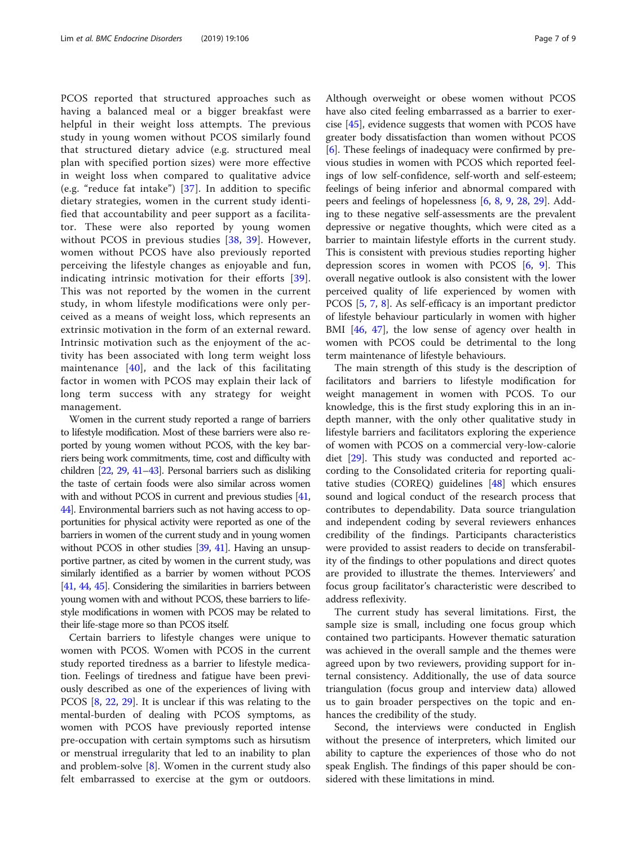PCOS reported that structured approaches such as having a balanced meal or a bigger breakfast were helpful in their weight loss attempts. The previous study in young women without PCOS similarly found that structured dietary advice (e.g. structured meal plan with specified portion sizes) were more effective in weight loss when compared to qualitative advice (e.g. "reduce fat intake")  $[37]$  $[37]$  $[37]$ . In addition to specific dietary strategies, women in the current study identified that accountability and peer support as a facilitator. These were also reported by young women without PCOS in previous studies [[38,](#page-8-0) [39\]](#page-8-0). However, women without PCOS have also previously reported perceiving the lifestyle changes as enjoyable and fun, indicating intrinsic motivation for their efforts [[39](#page-8-0)]. This was not reported by the women in the current study, in whom lifestyle modifications were only perceived as a means of weight loss, which represents an extrinsic motivation in the form of an external reward. Intrinsic motivation such as the enjoyment of the activity has been associated with long term weight loss maintenance  $[40]$  $[40]$  $[40]$ , and the lack of this facilitating factor in women with PCOS may explain their lack of long term success with any strategy for weight management.

Women in the current study reported a range of barriers to lifestyle modification. Most of these barriers were also reported by young women without PCOS, with the key barriers being work commitments, time, cost and difficulty with children [[22,](#page-8-0) [29,](#page-8-0) [41](#page-8-0)–[43](#page-8-0)]. Personal barriers such as disliking the taste of certain foods were also similar across women with and without PCOS in current and previous studies [\[41](#page-8-0), [44\]](#page-8-0). Environmental barriers such as not having access to opportunities for physical activity were reported as one of the barriers in women of the current study and in young women without PCOS in other studies [\[39](#page-8-0), [41](#page-8-0)]. Having an unsupportive partner, as cited by women in the current study, was similarly identified as a barrier by women without PCOS [[41,](#page-8-0) [44](#page-8-0), [45\]](#page-8-0). Considering the similarities in barriers between young women with and without PCOS, these barriers to lifestyle modifications in women with PCOS may be related to their life-stage more so than PCOS itself.

Certain barriers to lifestyle changes were unique to women with PCOS. Women with PCOS in the current study reported tiredness as a barrier to lifestyle medication. Feelings of tiredness and fatigue have been previously described as one of the experiences of living with PCOS [\[8](#page-7-0), [22,](#page-8-0) [29\]](#page-8-0). It is unclear if this was relating to the mental-burden of dealing with PCOS symptoms, as women with PCOS have previously reported intense pre-occupation with certain symptoms such as hirsutism or menstrual irregularity that led to an inability to plan and problem-solve  $[8]$  $[8]$ . Women in the current study also felt embarrassed to exercise at the gym or outdoors.

Although overweight or obese women without PCOS have also cited feeling embarrassed as a barrier to exercise [\[45\]](#page-8-0), evidence suggests that women with PCOS have greater body dissatisfaction than women without PCOS [[6\]](#page-7-0). These feelings of inadequacy were confirmed by previous studies in women with PCOS which reported feelings of low self-confidence, self-worth and self-esteem; feelings of being inferior and abnormal compared with peers and feelings of hopelessness [\[6](#page-7-0), [8,](#page-7-0) [9](#page-7-0), [28](#page-8-0), [29\]](#page-8-0). Adding to these negative self-assessments are the prevalent depressive or negative thoughts, which were cited as a barrier to maintain lifestyle efforts in the current study. This is consistent with previous studies reporting higher depression scores in women with PCOS [[6,](#page-7-0) [9](#page-7-0)]. This overall negative outlook is also consistent with the lower perceived quality of life experienced by women with PCOS [[5,](#page-7-0) [7](#page-7-0), [8](#page-7-0)]. As self-efficacy is an important predictor of lifestyle behaviour particularly in women with higher BMI [\[46,](#page-8-0) [47\]](#page-8-0), the low sense of agency over health in women with PCOS could be detrimental to the long term maintenance of lifestyle behaviours.

The main strength of this study is the description of facilitators and barriers to lifestyle modification for weight management in women with PCOS. To our knowledge, this is the first study exploring this in an indepth manner, with the only other qualitative study in lifestyle barriers and facilitators exploring the experience of women with PCOS on a commercial very-low-calorie diet [\[29](#page-8-0)]. This study was conducted and reported according to the Consolidated criteria for reporting qualitative studies (COREQ) guidelines [[48\]](#page-8-0) which ensures sound and logical conduct of the research process that contributes to dependability. Data source triangulation and independent coding by several reviewers enhances credibility of the findings. Participants characteristics were provided to assist readers to decide on transferability of the findings to other populations and direct quotes are provided to illustrate the themes. Interviewers' and focus group facilitator's characteristic were described to address reflexivity.

The current study has several limitations. First, the sample size is small, including one focus group which contained two participants. However thematic saturation was achieved in the overall sample and the themes were agreed upon by two reviewers, providing support for internal consistency. Additionally, the use of data source triangulation (focus group and interview data) allowed us to gain broader perspectives on the topic and enhances the credibility of the study.

Second, the interviews were conducted in English without the presence of interpreters, which limited our ability to capture the experiences of those who do not speak English. The findings of this paper should be considered with these limitations in mind.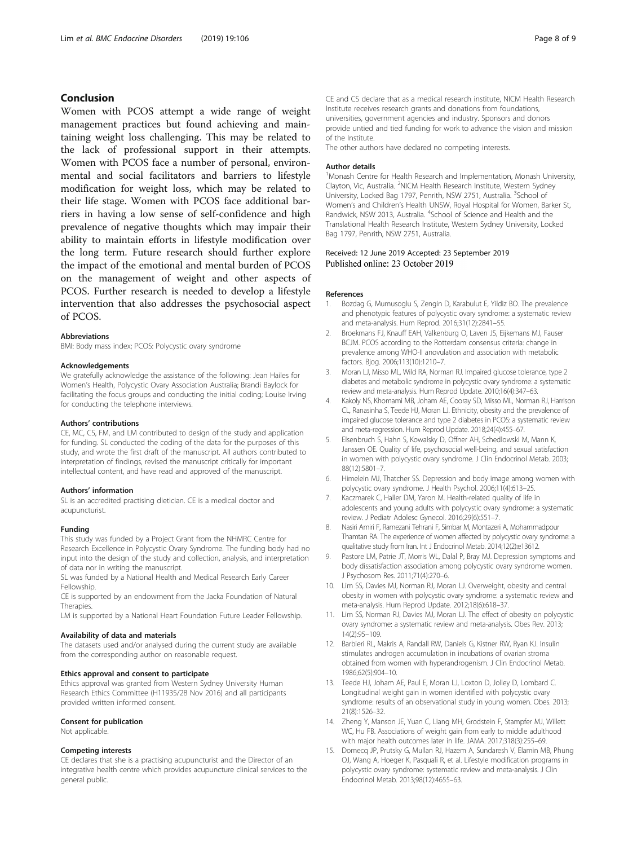# <span id="page-7-0"></span>Conclusion

Women with PCOS attempt a wide range of weight management practices but found achieving and maintaining weight loss challenging. This may be related to the lack of professional support in their attempts. Women with PCOS face a number of personal, environmental and social facilitators and barriers to lifestyle modification for weight loss, which may be related to their life stage. Women with PCOS face additional barriers in having a low sense of self-confidence and high prevalence of negative thoughts which may impair their ability to maintain efforts in lifestyle modification over the long term. Future research should further explore the impact of the emotional and mental burden of PCOS on the management of weight and other aspects of PCOS. Further research is needed to develop a lifestyle intervention that also addresses the psychosocial aspect of PCOS.

# Abbreviations

BMI: Body mass index; PCOS: Polycystic ovary syndrome

# Acknowledgements

We gratefully acknowledge the assistance of the following: Jean Hailes for Women's Health, Polycystic Ovary Association Australia; Brandi Baylock for facilitating the focus groups and conducting the initial coding; Louise Irving for conducting the telephone interviews.

# Authors' contributions

CE, MC, CS, FM, and LM contributed to design of the study and application for funding. SL conducted the coding of the data for the purposes of this study, and wrote the first draft of the manuscript. All authors contributed to interpretation of findings, revised the manuscript critically for important intellectual content, and have read and approved of the manuscript.

# Authors' information

SL is an accredited practising dietician. CE is a medical doctor and acupuncturist.

# Funding

This study was funded by a Project Grant from the NHMRC Centre for Research Excellence in Polycystic Ovary Syndrome. The funding body had no input into the design of the study and collection, analysis, and interpretation of data nor in writing the manuscript.

SL was funded by a National Health and Medical Research Early Career Fellowship.

CE is supported by an endowment from the Jacka Foundation of Natural Therapies.

LM is supported by a National Heart Foundation Future Leader Fellowship.

# Availability of data and materials

The datasets used and/or analysed during the current study are available from the corresponding author on reasonable request.

### Ethics approval and consent to participate

Ethics approval was granted from Western Sydney University Human Research Ethics Committee (H11935/28 Nov 2016) and all participants provided written informed consent.

# Consent for publication

Not applicable.

# Competing interests

CE declares that she is a practising acupuncturist and the Director of an integrative health centre which provides acupuncture clinical services to the general public.

CE and CS declare that as a medical research institute, NICM Health Research Institute receives research grants and donations from foundations, universities, government agencies and industry. Sponsors and donors provide untied and tied funding for work to advance the vision and mission of the Institute.

The other authors have declared no competing interests.

# Author details

<sup>1</sup> Monash Centre for Health Research and Implementation, Monash University, Clayton, Vic, Australia. <sup>2</sup>NICM Health Research Institute, Western Sydney University, Locked Bag 1797, Penrith, NSW 2751, Australia. <sup>3</sup>School of Women's and Children's Health UNSW, Royal Hospital for Women, Barker St, Randwick, NSW 2013, Australia. <sup>4</sup>School of Science and Health and the Translational Health Research Institute, Western Sydney University, Locked Bag 1797, Penrith, NSW 2751, Australia.

# Received: 12 June 2019 Accepted: 23 September 2019 Published online: 23 October 2019

# References

- Bozdag G, Mumusoglu S, Zengin D, Karabulut E, Yildiz BO. The prevalence and phenotypic features of polycystic ovary syndrome: a systematic review and meta-analysis. Hum Reprod. 2016;31(12):2841–55.
- 2. Broekmans FJ, Knauff EAH, Valkenburg O, Laven JS, Eijkemans MJ, Fauser BCJM. PCOS according to the Rotterdam consensus criteria: change in prevalence among WHO-II anovulation and association with metabolic factors. Bjog. 2006;113(10):1210–7.
- 3. Moran LJ, Misso ML, Wild RA, Norman RJ. Impaired glucose tolerance, type 2 diabetes and metabolic syndrome in polycystic ovary syndrome: a systematic review and meta-analysis. Hum Reprod Update. 2010;16(4):347–63.
- 4. Kakoly NS, Khomami MB, Joham AE, Cooray SD, Misso ML, Norman RJ, Harrison CL, Ranasinha S, Teede HJ, Moran LJ. Ethnicity, obesity and the prevalence of impaired glucose tolerance and type 2 diabetes in PCOS: a systematic review and meta-regression. Hum Reprod Update. 2018;24(4):455–67.
- 5. Elsenbruch S, Hahn S, Kowalsky D, Offner AH, Schedlowski M, Mann K, Janssen OE. Quality of life, psychosocial well-being, and sexual satisfaction in women with polycystic ovary syndrome. J Clin Endocrinol Metab. 2003; 88(12):5801–7.
- Himelein MJ, Thatcher SS. Depression and body image among women with polycystic ovary syndrome. J Health Psychol. 2006;11(4):613–25.
- 7. Kaczmarek C, Haller DM, Yaron M. Health-related quality of life in adolescents and young adults with polycystic ovary syndrome: a systematic review. J Pediatr Adolesc Gynecol. 2016;29(6):551–7.
- 8. Nasiri Amiri F, Ramezani Tehrani F, Simbar M, Montazeri A, Mohammadpour Thamtan RA. The experience of women affected by polycystic ovary syndrome: a qualitative study from Iran. Int J Endocrinol Metab. 2014;12(2):e13612.
- 9. Pastore LM, Patrie JT, Morris WL, Dalal P, Bray MJ. Depression symptoms and body dissatisfaction association among polycystic ovary syndrome women. J Psychosom Res. 2011;71(4):270–6.
- 10. Lim SS, Davies MJ, Norman RJ, Moran LJ. Overweight, obesity and central obesity in women with polycystic ovary syndrome: a systematic review and meta-analysis. Hum Reprod Update. 2012;18(6):618–37.
- 11. Lim SS, Norman RJ, Davies MJ, Moran LJ. The effect of obesity on polycystic ovary syndrome: a systematic review and meta-analysis. Obes Rev. 2013; 14(2):95–109.
- 12. Barbieri RL, Makris A, Randall RW, Daniels G, Kistner RW, Ryan KJ. Insulin stimulates androgen accumulation in incubations of ovarian stroma obtained from women with hyperandrogenism. J Clin Endocrinol Metab. 1986;62(5):904–10.
- 13. Teede HJ, Joham AE, Paul E, Moran LJ, Loxton D, Jolley D, Lombard C. Longitudinal weight gain in women identified with polycystic ovary syndrome: results of an observational study in young women. Obes. 2013; 21(8):1526–32.
- 14. Zheng Y, Manson JE, Yuan C, Liang MH, Grodstein F, Stampfer MJ, Willett WC, Hu FB. Associations of weight gain from early to middle adulthood with major health outcomes later in life. JAMA. 2017;318(3):255–69.
- 15. Domecq JP, Prutsky G, Mullan RJ, Hazem A, Sundaresh V, Elamin MB, Phung OJ, Wang A, Hoeger K, Pasquali R, et al. Lifestyle modification programs in polycystic ovary syndrome: systematic review and meta-analysis. J Clin Endocrinol Metab. 2013;98(12):4655–63.